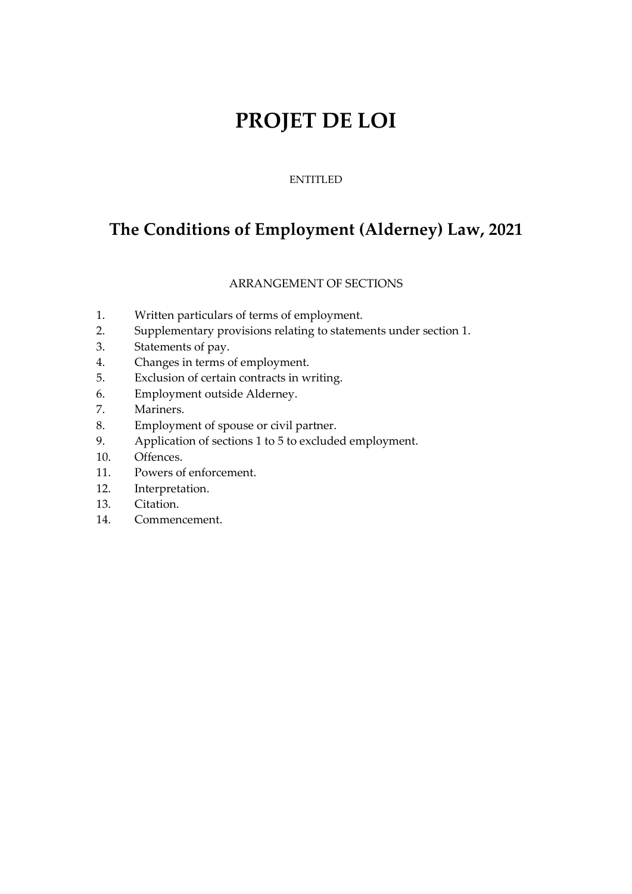# **PROJET DE LOI**

### ENTITLED

# **The Conditions of Employment (Alderney) Law, 2021**

### ARRANGEMENT OF SECTIONS

- 1. Written particulars of terms of employment.
- 2. Supplementary provisions relating to statements under section 1.
- 3. Statements of pay.
- 4. Changes in terms of employment.
- 5. Exclusion of certain contracts in writing.
- 6. Employment outside Alderney.
- 7. Mariners.
- 8. Employment of spouse or civil partner.
- 9. Application of sections 1 to 5 to excluded employment.
- 10. Offences.
- 11. Powers of enforcement.
- 12. Interpretation.
- 13. Citation.
- 14. Commencement.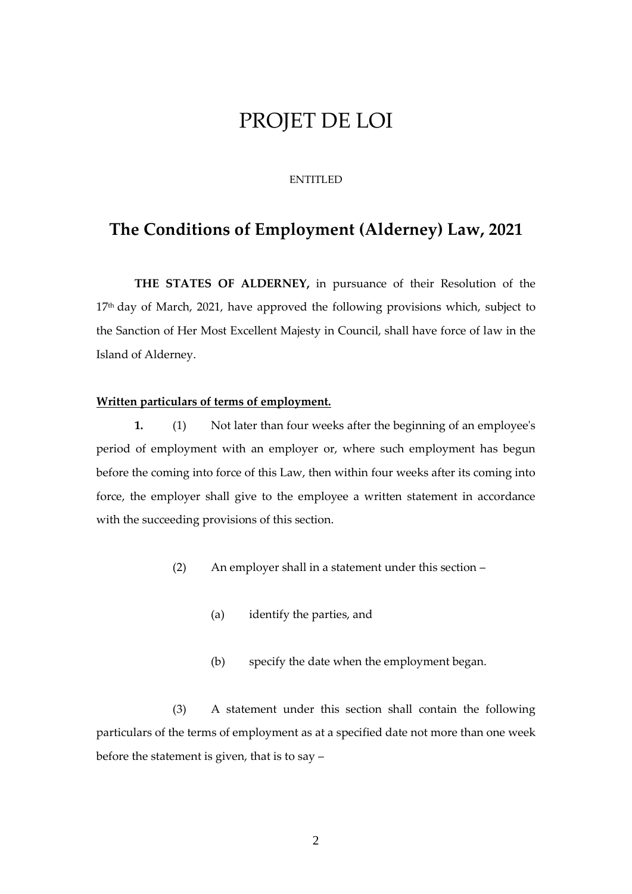# PROJET DE LOI

#### ENTITLED

## **The Conditions of Employment (Alderney) Law, 2021**

**THE STATES OF ALDERNEY,** in pursuance of their Resolution of the 17<sup>th</sup> day of March, 2021, have approved the following provisions which, subject to the Sanction of Her Most Excellent Majesty in Council, shall have force of law in the Island of Alderney.

#### **Written particulars of terms of employment.**

**1.** (1) Not later than four weeks after the beginning of an employee's period of employment with an employer or, where such employment has begun before the coming into force of this Law, then within four weeks after its coming into force, the employer shall give to the employee a written statement in accordance with the succeeding provisions of this section.

- (2) An employer shall in a statement under this section
	- (a) identify the parties, and
	- (b) specify the date when the employment began.

(3) A statement under this section shall contain the following particulars of the terms of employment as at a specified date not more than one week before the statement is given, that is to say –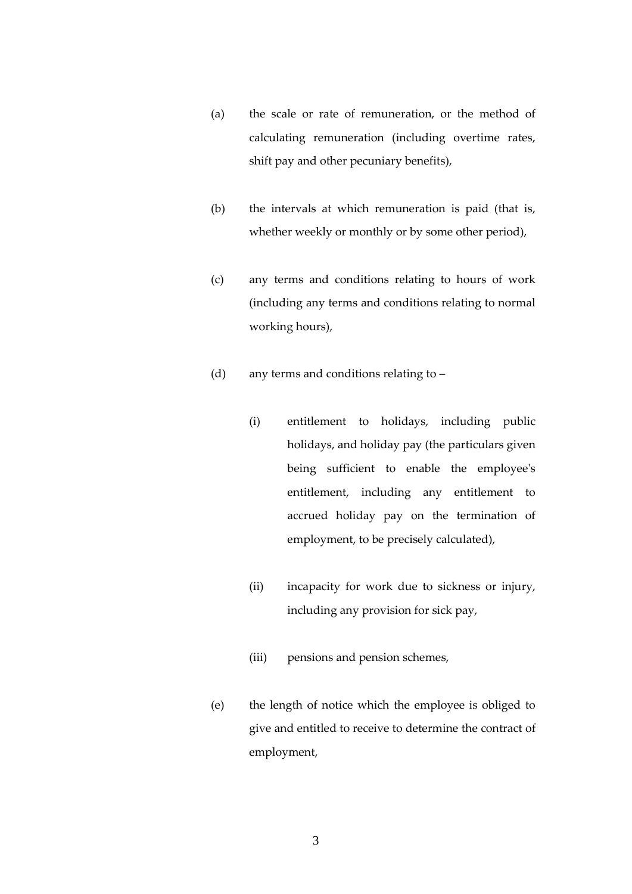- (a) the scale or rate of remuneration, or the method of calculating remuneration (including overtime rates, shift pay and other pecuniary benefits),
- (b) the intervals at which remuneration is paid (that is, whether weekly or monthly or by some other period),
- (c) any terms and conditions relating to hours of work (including any terms and conditions relating to normal working hours),
- (d) any terms and conditions relating to
	- (i) entitlement to holidays, including public holidays, and holiday pay (the particulars given being sufficient to enable the employee's entitlement, including any entitlement to accrued holiday pay on the termination of employment, to be precisely calculated),
	- (ii) incapacity for work due to sickness or injury, including any provision for sick pay,
	- (iii) pensions and pension schemes,
- (e) the length of notice which the employee is obliged to give and entitled to receive to determine the contract of employment,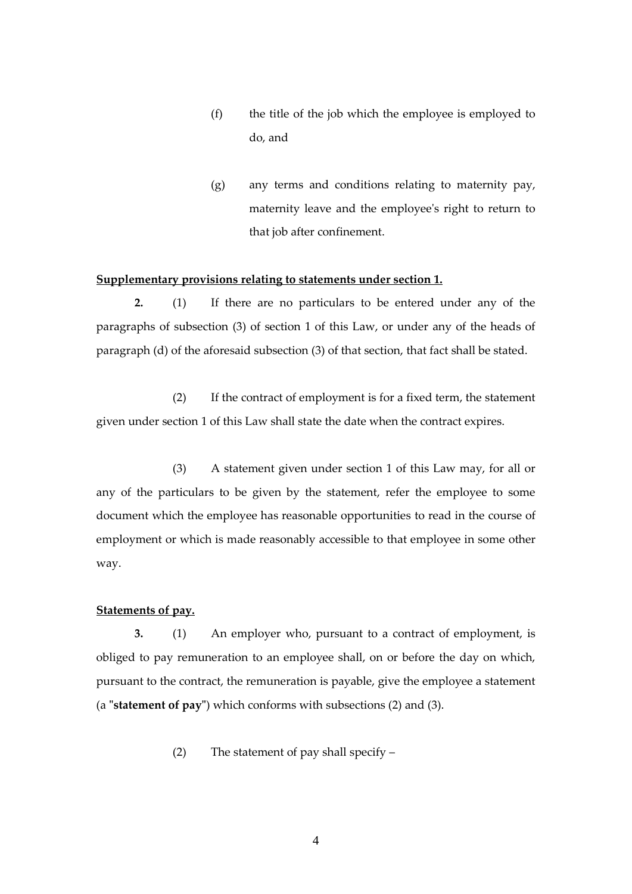- (f) the title of the job which the employee is employed to do, and
- (g) any terms and conditions relating to maternity pay, maternity leave and the employee's right to return to that job after confinement.

#### **Supplementary provisions relating to statements under section 1.**

**2.** (1) If there are no particulars to be entered under any of the paragraphs of subsection (3) of section 1 of this Law, or under any of the heads of paragraph (d) of the aforesaid subsection (3) of that section, that fact shall be stated.

(2) If the contract of employment is for a fixed term, the statement given under section 1 of this Law shall state the date when the contract expires.

(3) A statement given under section 1 of this Law may, for all or any of the particulars to be given by the statement, refer the employee to some document which the employee has reasonable opportunities to read in the course of employment or which is made reasonably accessible to that employee in some other way.

#### **Statements of pay.**

**3.** (1) An employer who, pursuant to a contract of employment, is obliged to pay remuneration to an employee shall, on or before the day on which, pursuant to the contract, the remuneration is payable, give the employee a statement (a **"statement of pay"**) which conforms with subsections (2) and (3).

(2) The statement of pay shall specify –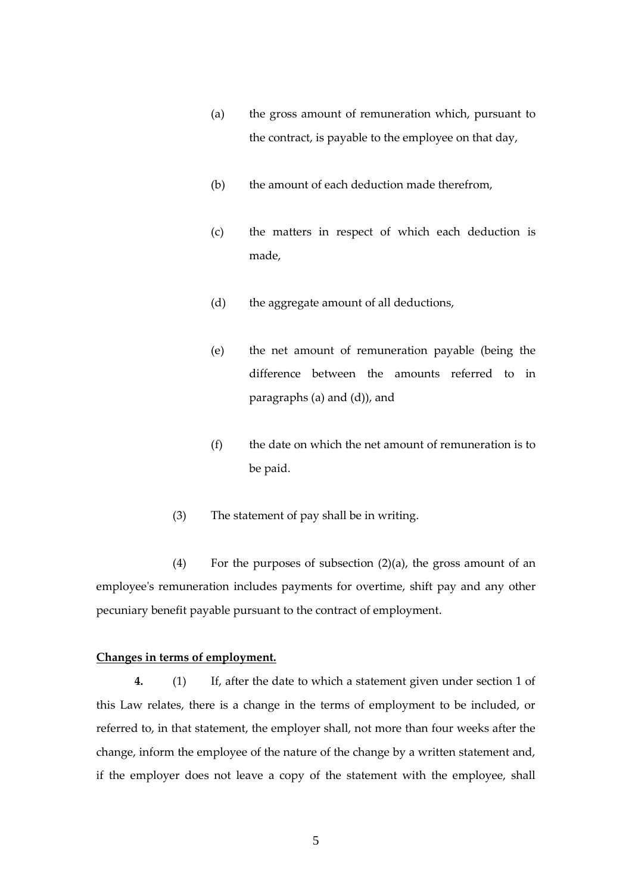- (a) the gross amount of remuneration which, pursuant to the contract, is payable to the employee on that day,
- (b) the amount of each deduction made therefrom,
- (c) the matters in respect of which each deduction is made,
- (d) the aggregate amount of all deductions,
- (e) the net amount of remuneration payable (being the difference between the amounts referred to in paragraphs (a) and (d)), and
- (f) the date on which the net amount of remuneration is to be paid.
- (3) The statement of pay shall be in writing.

(4) For the purposes of subsection  $(2)(a)$ , the gross amount of an employee's remuneration includes payments for overtime, shift pay and any other pecuniary benefit payable pursuant to the contract of employment.

#### **Changes in terms of employment.**

**4.** (1) If, after the date to which a statement given under section 1 of this Law relates, there is a change in the terms of employment to be included, or referred to, in that statement, the employer shall, not more than four weeks after the change, inform the employee of the nature of the change by a written statement and, if the employer does not leave a copy of the statement with the employee, shall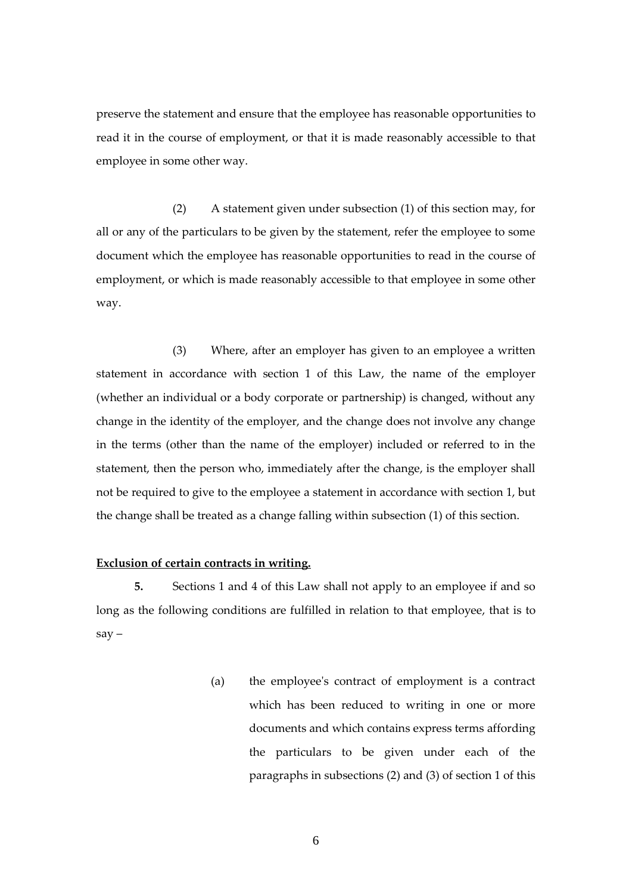preserve the statement and ensure that the employee has reasonable opportunities to read it in the course of employment, or that it is made reasonably accessible to that employee in some other way.

(2) A statement given under subsection (1) of this section may, for all or any of the particulars to be given by the statement, refer the employee to some document which the employee has reasonable opportunities to read in the course of employment, or which is made reasonably accessible to that employee in some other way.

(3) Where, after an employer has given to an employee a written statement in accordance with section 1 of this Law, the name of the employer (whether an individual or a body corporate or partnership) is changed, without any change in the identity of the employer, and the change does not involve any change in the terms (other than the name of the employer) included or referred to in the statement, then the person who, immediately after the change, is the employer shall not be required to give to the employee a statement in accordance with section 1, but the change shall be treated as a change falling within subsection (1) of this section.

#### **Exclusion of certain contracts in writing.**

**5.** Sections 1 and 4 of this Law shall not apply to an employee if and so long as the following conditions are fulfilled in relation to that employee, that is to  $sav -$ 

> (a) the employee's contract of employment is a contract which has been reduced to writing in one or more documents and which contains express terms affording the particulars to be given under each of the paragraphs in subsections (2) and (3) of section 1 of this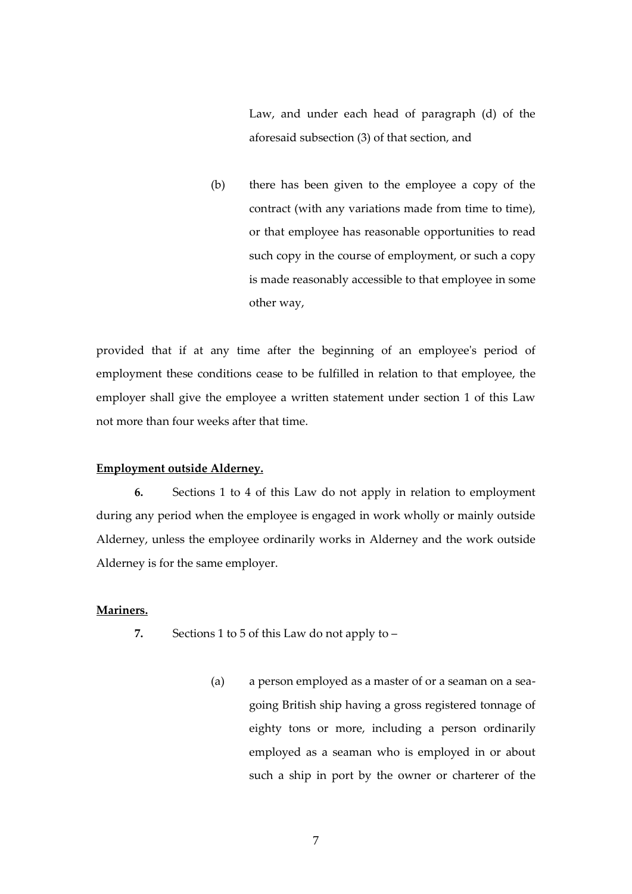Law, and under each head of paragraph (d) of the aforesaid subsection (3) of that section, and

(b) there has been given to the employee a copy of the contract (with any variations made from time to time), or that employee has reasonable opportunities to read such copy in the course of employment, or such a copy is made reasonably accessible to that employee in some other way,

provided that if at any time after the beginning of an employee's period of employment these conditions cease to be fulfilled in relation to that employee, the employer shall give the employee a written statement under section 1 of this Law not more than four weeks after that time.

#### **Employment outside Alderney.**

**6.** Sections 1 to 4 of this Law do not apply in relation to employment during any period when the employee is engaged in work wholly or mainly outside Alderney, unless the employee ordinarily works in Alderney and the work outside Alderney is for the same employer.

#### **Mariners.**

- **7.** Sections 1 to 5 of this Law do not apply to
	- (a) a person employed as a master of or a seaman on a seagoing British ship having a gross registered tonnage of eighty tons or more, including a person ordinarily employed as a seaman who is employed in or about such a ship in port by the owner or charterer of the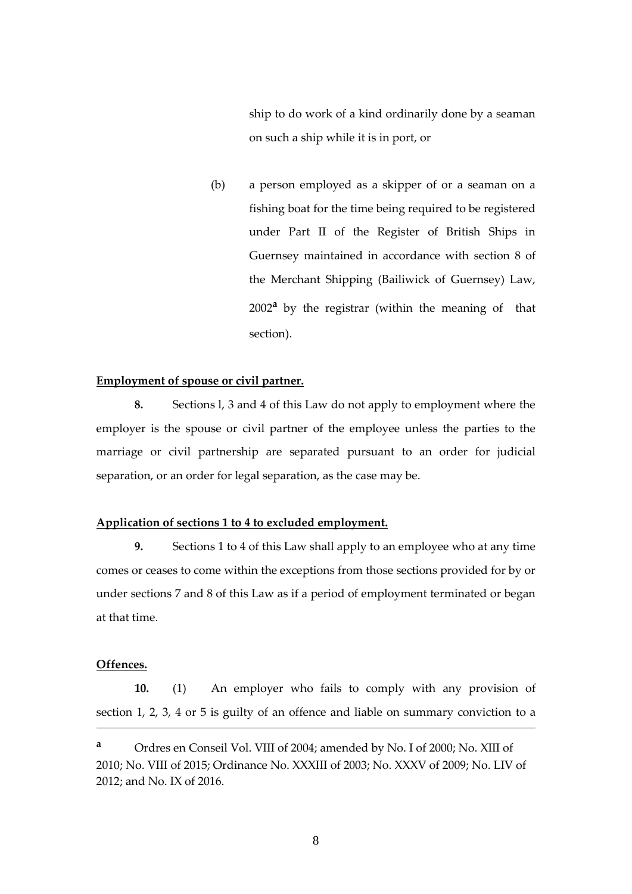ship to do work of a kind ordinarily done by a seaman on such a ship while it is in port, or

(b) a person employed as a skipper of or a seaman on a fishing boat for the time being required to be registered under Part II of the Register of British Ships in Guernsey maintained in accordance with section 8 of the Merchant Shipping (Bailiwick of Guernsey) Law, 2002**<sup>a</sup>** by the registrar (within the meaning of that section).

#### **Employment of spouse or civil partner.**

**8.** Sections l, 3 and 4 of this Law do not apply to employment where the employer is the spouse or civil partner of the employee unless the parties to the marriage or civil partnership are separated pursuant to an order for judicial separation, or an order for legal separation, as the case may be.

#### **Application of sections 1 to 4 to excluded employment.**

**9.** Sections 1 to 4 of this Law shall apply to an employee who at any time comes or ceases to come within the exceptions from those sections provided for by or under sections 7 and 8 of this Law as if a period of employment terminated or began at that time.

#### **Offences.**

<u>.</u>

**10.** (1) An employer who fails to comply with any provision of section 1, 2, 3, 4 or 5 is guilty of an offence and liable on summary conviction to a

**<sup>a</sup>** Ordres en Conseil Vol. VIII of 2004; amended by No. I of 2000; No. XIII of 2010; No. VIII of 2015; Ordinance No. XXXIII of 2003; No. XXXV of 2009; No. LIV of 2012; and No. IX of 2016.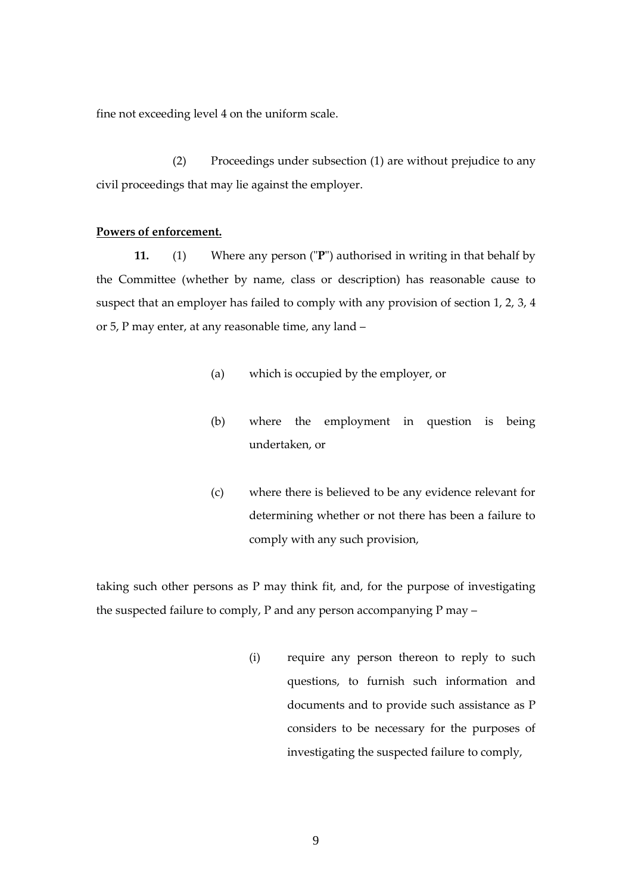fine not exceeding level 4 on the uniform scale.

(2) Proceedings under subsection (1) are without prejudice to any civil proceedings that may lie against the employer.

#### **Powers of enforcement.**

**11.** (1) Where any person ("**P**") authorised in writing in that behalf by the Committee (whether by name, class or description) has reasonable cause to suspect that an employer has failed to comply with any provision of section 1, 2, 3, 4 or 5, P may enter, at any reasonable time, any land –

- (a) which is occupied by the employer, or
- (b) where the employment in question is being undertaken, or
- (c) where there is believed to be any evidence relevant for determining whether or not there has been a failure to comply with any such provision,

taking such other persons as P may think fit, and, for the purpose of investigating the suspected failure to comply, P and any person accompanying P may –

> (i) require any person thereon to reply to such questions, to furnish such information and documents and to provide such assistance as P considers to be necessary for the purposes of investigating the suspected failure to comply,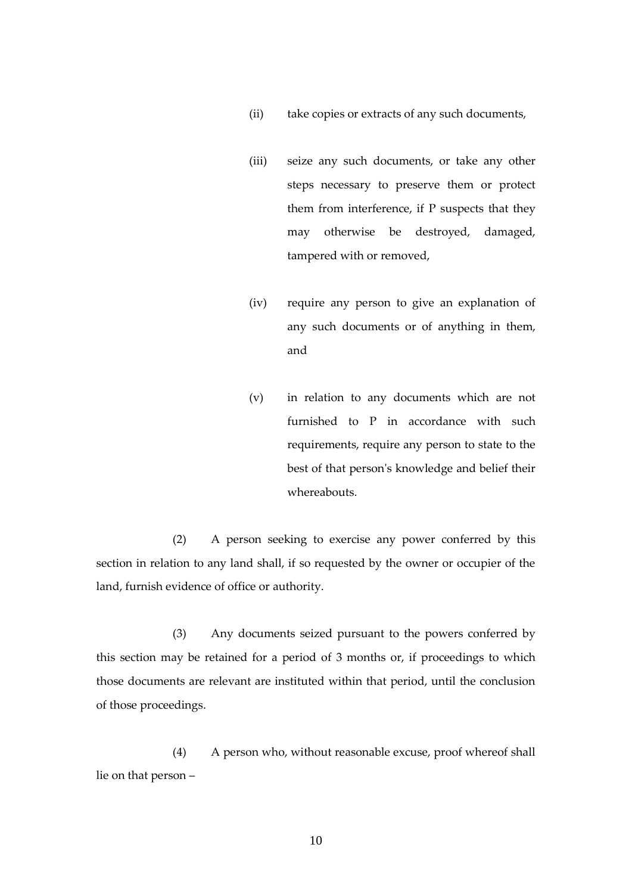- (ii) take copies or extracts of any such documents,
- (iii) seize any such documents, or take any other steps necessary to preserve them or protect them from interference, if P suspects that they may otherwise be destroyed, damaged, tampered with or removed,
- (iv) require any person to give an explanation of any such documents or of anything in them, and
- (v) in relation to any documents which are not furnished to P in accordance with such requirements, require any person to state to the best of that person's knowledge and belief their whereabouts.

(2) A person seeking to exercise any power conferred by this section in relation to any land shall, if so requested by the owner or occupier of the land, furnish evidence of office or authority.

(3) Any documents seized pursuant to the powers conferred by this section may be retained for a period of 3 months or, if proceedings to which those documents are relevant are instituted within that period, until the conclusion of those proceedings.

(4) A person who, without reasonable excuse, proof whereof shall lie on that person –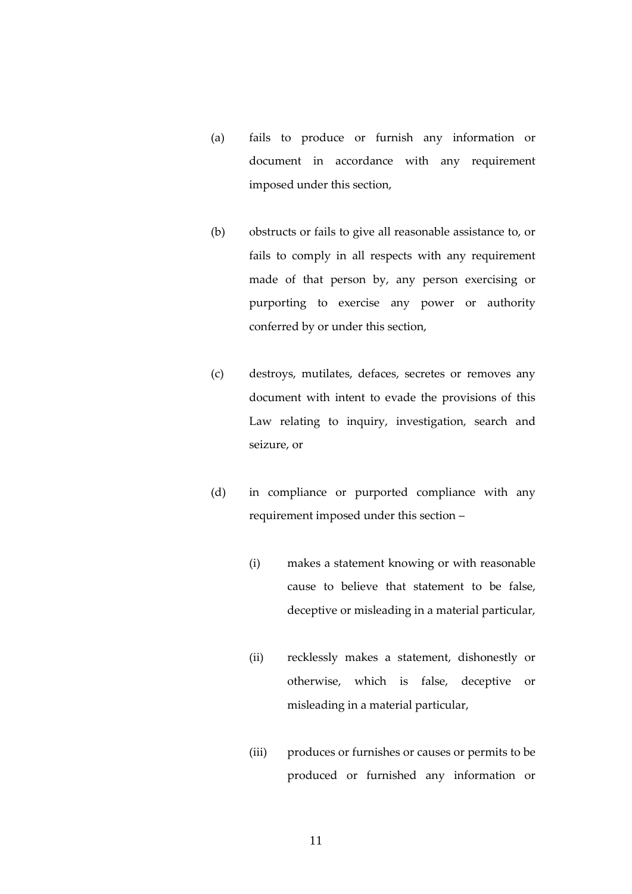- (a) fails to produce or furnish any information or document in accordance with any requirement imposed under this section,
- (b) obstructs or fails to give all reasonable assistance to, or fails to comply in all respects with any requirement made of that person by, any person exercising or purporting to exercise any power or authority conferred by or under this section,
- (c) destroys, mutilates, defaces, secretes or removes any document with intent to evade the provisions of this Law relating to inquiry, investigation, search and seizure, or
- (d) in compliance or purported compliance with any requirement imposed under this section –
	- (i) makes a statement knowing or with reasonable cause to believe that statement to be false, deceptive or misleading in a material particular,
	- (ii) recklessly makes a statement, dishonestly or otherwise, which is false, deceptive or misleading in a material particular,
	- (iii) produces or furnishes or causes or permits to be produced or furnished any information or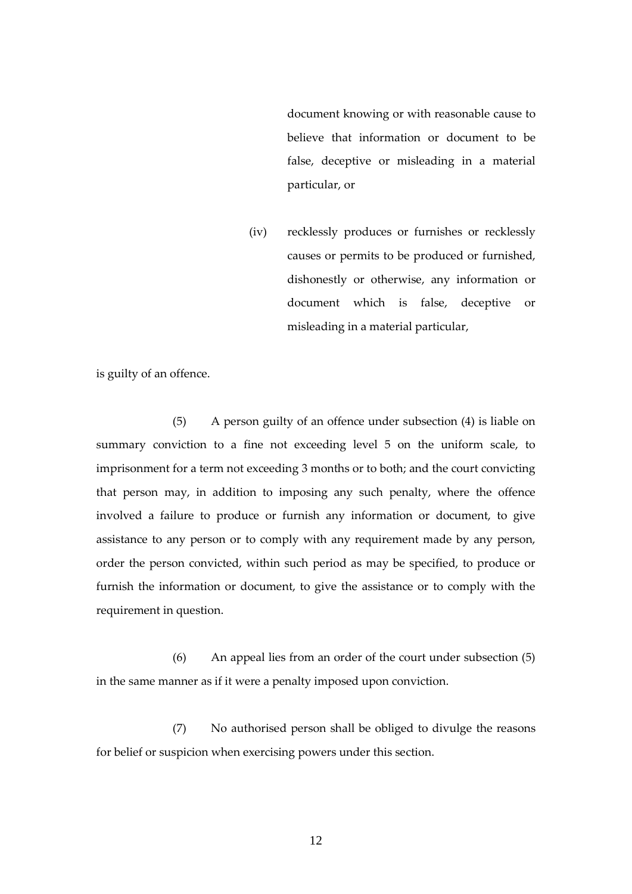document knowing or with reasonable cause to believe that information or document to be false, deceptive or misleading in a material particular, or

(iv) recklessly produces or furnishes or recklessly causes or permits to be produced or furnished, dishonestly or otherwise, any information or document which is false, deceptive or misleading in a material particular,

is guilty of an offence.

(5) A person guilty of an offence under subsection (4) is liable on summary conviction to a fine not exceeding level 5 on the uniform scale, to imprisonment for a term not exceeding 3 months or to both; and the court convicting that person may, in addition to imposing any such penalty, where the offence involved a failure to produce or furnish any information or document, to give assistance to any person or to comply with any requirement made by any person, order the person convicted, within such period as may be specified, to produce or furnish the information or document, to give the assistance or to comply with the requirement in question.

(6) An appeal lies from an order of the court under subsection (5) in the same manner as if it were a penalty imposed upon conviction.

(7) No authorised person shall be obliged to divulge the reasons for belief or suspicion when exercising powers under this section.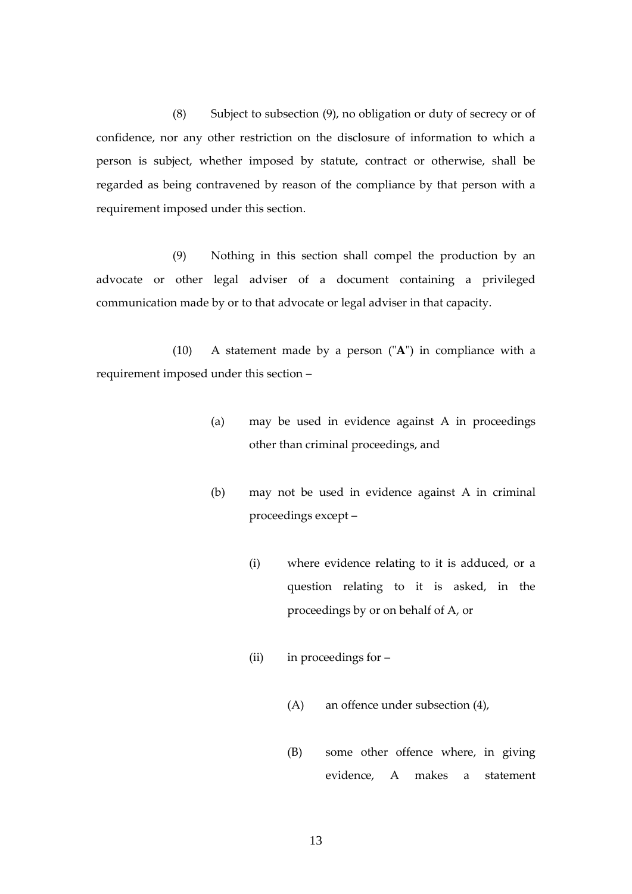(8) Subject to subsection (9), no obligation or duty of secrecy or of confidence, nor any other restriction on the disclosure of information to which a person is subject, whether imposed by statute, contract or otherwise, shall be regarded as being contravened by reason of the compliance by that person with a requirement imposed under this section.

(9) Nothing in this section shall compel the production by an advocate or other legal adviser of a document containing a privileged communication made by or to that advocate or legal adviser in that capacity.

(10) A statement made by a person ("**A**") in compliance with a requirement imposed under this section –

- (a) may be used in evidence against A in proceedings other than criminal proceedings, and
- (b) may not be used in evidence against A in criminal proceedings except –
	- (i) where evidence relating to it is adduced, or a question relating to it is asked, in the proceedings by or on behalf of A, or
	- (ii) in proceedings for
		- (A) an offence under subsection (4),
		- (B) some other offence where, in giving evidence, A makes a statement

13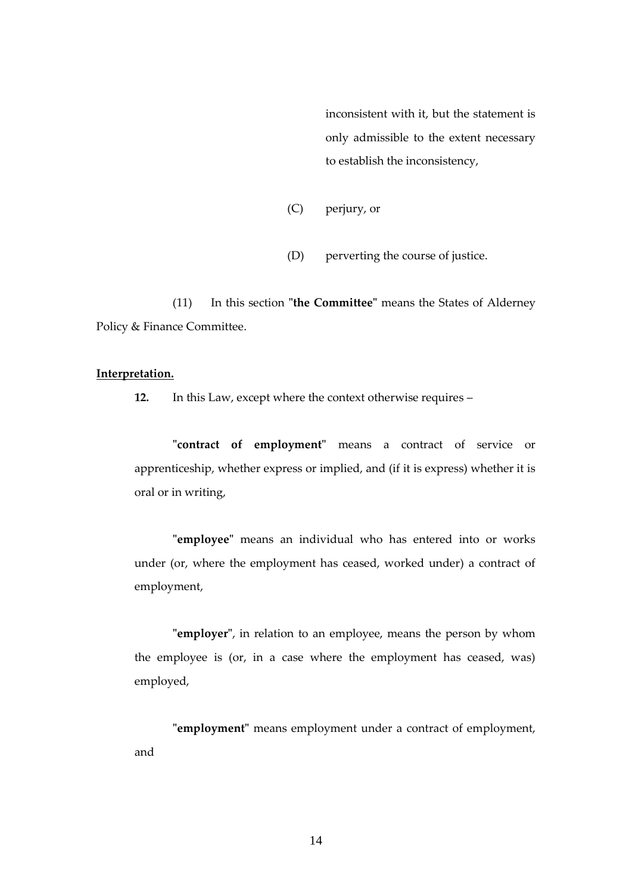inconsistent with it, but the statement is only admissible to the extent necessary to establish the inconsistency,

- (C) perjury, or
- (D) perverting the course of justice.

(11) In this section **"the Committee"** means the States of Alderney Policy & Finance Committee.

#### **Interpretation.**

**12.** In this Law, except where the context otherwise requires –

**"contract of employment"** means a contract of service or apprenticeship, whether express or implied, and (if it is express) whether it is oral or in writing,

**"employee"** means an individual who has entered into or works under (or, where the employment has ceased, worked under) a contract of employment,

**"employer"**, in relation to an employee, means the person by whom the employee is (or, in a case where the employment has ceased, was) employed,

**"employment"** means employment under a contract of employment, and